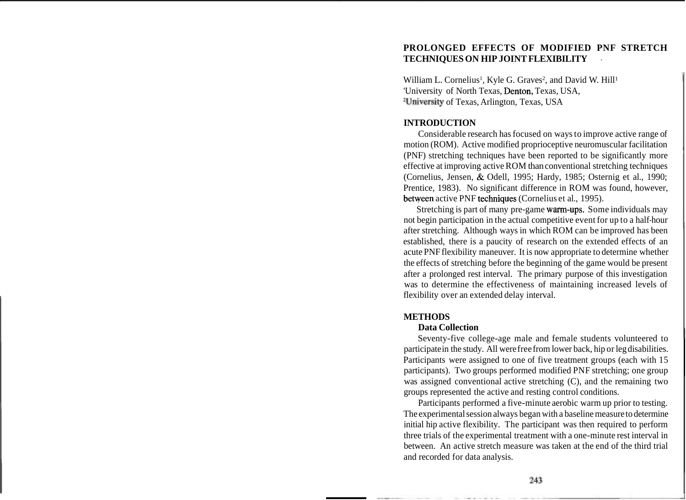## **PROLONGED EFFECTS OF MODIFIED PNF STRETCH TECHNIQUES ON HIP JOINT FLEXIBILITY** .

William L. Cornelius<sup>1</sup>, Kyle G. Graves<sup>2</sup>, and David W. Hill<sup>1</sup> 'University of North Texas, Denton, Texas, USA, 2University of Texas, Arlington, Texas, USA

## **INTRODUCTION**

Considerable research has focused on ways to improve active range of motion (ROM). Active modified proprioceptive neuromuscular facilitation (PNF) stretching techniques have been reported to be significantly more effective at improving active ROM than conventional stretching techniques (Cornelius, Jensen, & Odell, 1995; Hardy, 1985; Osternig et al., 1990; Prentice, 1983). No significant difference in ROM was found, however, between active PNF techniques (Cornelius et al., 1995).

Stretching is part of many pre-game warm-ups. Some individuals may not begin participation in the actual competitive event for up to a half-hour after stretching. Although ways in which ROM can be improved has been established, there is a paucity of research on the extended effects of an acute PNF flexibility maneuver. It is now appropriate to determine whether the effects of stretching before the beginning of the game would be present after a prolonged rest interval. The primary purpose of this investigation was to determine the effectiveness of maintaining increased levels of flexibility over an extended delay interval.

#### **METHODS**

#### **Data Collection**

Seventy-five college-age male and female students volunteered to participate in the study. All were free from lower back, hip or leg disabilities. Participants were assigned to one of five treatment groups (each with 15 participants). Two groups performed modified PNF stretching; one group was assigned conventional active stretching (C), and the remaining two groups represented the active and resting control conditions.

Participants performed a five-minute aerobic warm up prior to testing. The experimental session always began with a baseline measure to determine initial hip active flexibility. The participant was then required to perform three trials of the experimental treatment with a one-minute rest interval in between. An active stretch measure was taken at the end of the third trial and recorded for data analysis.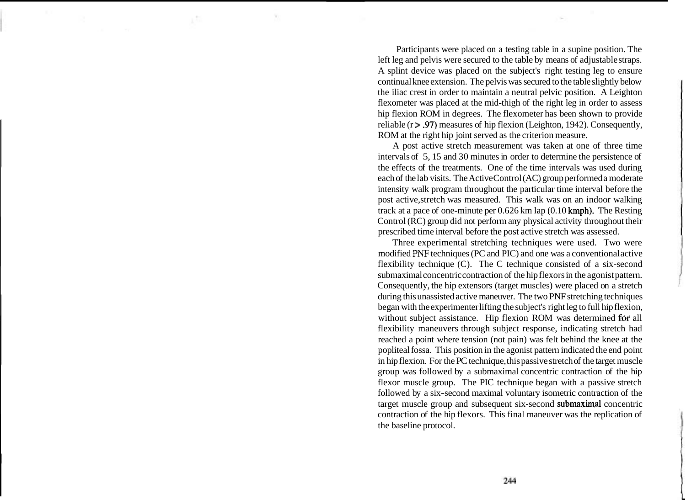Participants were placed on a testing table in a supine position. The left leg and pelvis were secured to the table by means of adjustable straps. A splint device was placed on the subject's right testing leg to ensure continual knee extension. The pelvis was secured to the table slightly below the iliac crest in order to maintain a neutral pelvic position. A Leighton flexometer was placed at the mid-thigh of the right leg in order to assess hip flexion ROM in degrees. The flexometer has been shown to provide reliable ( $r > .97$ ) measures of hip flexion (Leighton, 1942). Consequently, ROM at the right hip joint served as the criterion measure.

A post active stretch measurement was taken at one of three time intervals of 5, 15 and 30 minutes in order to determine the persistence of the effects of the treatments. One of the time intervals was used during each of the lab visits. The Active Control (AC) group performed a moderate intensity walk program throughout the particular time interval before the post active, stretch was measured. This walk was on an indoor walking track at a pace of one-minute per  $0.626$  km lap  $(0.10$  kmph). The Resting Control (RC) group did not perform any physical activity throughout their prescribed time interval before the post active stretch was assessed.

Three experimental stretching techniques were used. Two were modified **PNF** techniques (PC and PIC) and one was a conventional active flexibility technique (C). The C technique consisted of a six-second submaximal concentric contraction of the hip flexors in the agonist pattern. Consequently, the hip extensors (target muscles) were placed on a stretch during this unassisted active maneuver. The two PNF stretching techniques began with the experimenter lifting the subject's right leg to full hip flexion, without subject assistance. Hip flexion ROM was determined for all flexibility maneuvers through subject response, indicating stretch had reached a point where tension (not pain) was felt behind the knee at the popliteal fossa. This position in the agonist pattern indicated the end point in hip flexion. For the PC technique, this passive stretch of the target muscle group was followed by a submaximal concentric contraction of the hip flexor muscle group. The PIC technique began with a passive stretch followed by a six-second maximal voluntary isometric contraction of the target muscle group and subsequent six-second submaximal concentric contraction of the hip flexors. This final maneuver was the replication of the baseline protocol.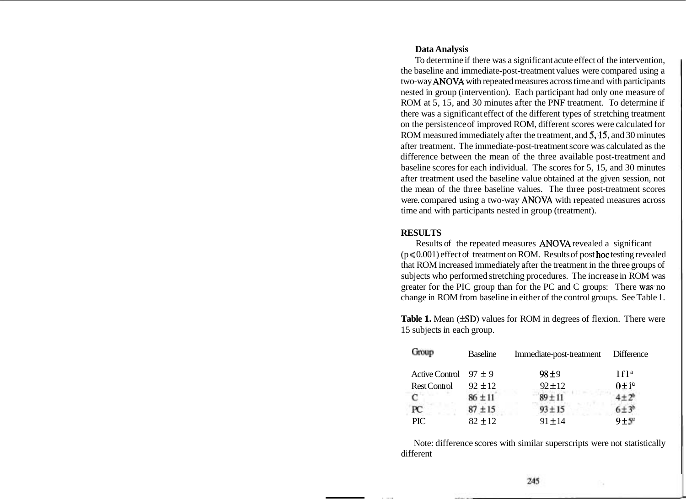## **Data Analysis**

To determine if there was a significant acute effect of the intervention, the baseline and immediate-post-treatment values were compared using a two-way ANOVA with repeated measures across time and with participants nested in group (intervention). Each participant had only one measure of ROM at 5, 15, and 30 minutes after the PNF treatment. To determine if there was a significant effect of the different types of stretching treatment on the persistence of improved ROM, different scores were calculated for ROM measured immediately after the treatment, and 5,15, and 30 minutes after treatment. The immediate-post-treatment score was calculated as the difference between the mean of the three available post-treatment and baseline scores for each individual. The scores for 5, 15, and 30 minutes after treatment used the baseline value obtained at the given session, not the mean of the three baseline values. The three post-treatment scores were. compared using a two-way ANOVA with repeated measures across time and with participants nested in group (treatment).

## **RESULTS**

Results of the repeated measures ANOVA revealed a significant  $(p \le 0.001)$  effect of treatment on ROM. Results of post hoc testing revealed that ROM increased immediately after the treatment in the three groups of subjects who performed stretching procedures. The increase in ROM was greater for the PIC group than for the PC and C groups: There was no change in ROM from baseline in either of the control groups. See Table 1.

Table 1. Mean ( $\pm SD$ ) values for ROM in degrees of flexion. There were 15 subjects in each group.

| Group                     | <b>Baseline</b> | Immediate-post-treatment | Difference       |
|---------------------------|-----------------|--------------------------|------------------|
| Active Control $97 \pm 9$ |                 | 98±9                     | 1f1 <sup>a</sup> |
| <b>Rest Control</b>       | $92 \pm 12$     | $92 \pm 12$              | $0 \pm 1^a$      |
| $\mathbf C$               | $86 \pm 11$     | $89 + 11$                | $+2^{6}$         |
| РC                        | $87 \pm 15$     | $93 + 15$                |                  |
| <b>PIC</b>                | $82 \pm 12$     | $91 \pm 14$              | $9 + 5$          |

Note: difference scores with similar superscripts were not statistically different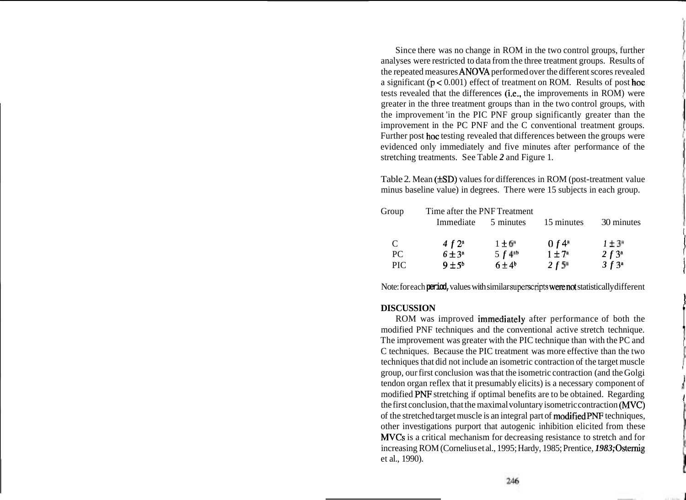Since there was no change in ROM in the two control groups, further analyses were restricted to data from the three treatment groups. Results of the repeated measures ANOVA performed over the different scores revealed a significant  $(p < 0.001)$  effect of treatment on ROM. Results of post hoc tests revealed that the differences (i.e., the improvements in ROM) were greater in the three treatment groups than in the two control groups, with the improvement 'in the PIC PNF group significantly greater than the improvement in the PC PNF and the C conventional treatment groups. Further post hoc testing revealed that differences between the groups were evidenced only immediately and five minutes after performance of the stretching treatments. See Table *2* and Figure 1.

Table 2. Mean  $(\pm SD)$  values for differences in ROM (post-treatment value minus baseline value) in degrees. There were 15 subjects in each group.

| Group | Time after the PNF Treatment |                      |                      |             |
|-------|------------------------------|----------------------|----------------------|-------------|
|       | Immediate                    | 5 minutes            | 15 minutes           | 30 minutes  |
| C     | 4 $f$ $2^a$                  | $1 \pm 6$            | 0 $f$ 4 <sup>a</sup> | $1 \pm 3^*$ |
| PC    | $6 \pm 3^a$                  | $5f4^{10}$           | $1 \pm 7^a$          | $2 f 3^a$   |
| PIC.  | $9 \pm 5^b$                  | $6\pm4$ <sup>b</sup> | 2f5 <sup>n</sup>     | $3f3^a$     |

Note: for each **period,** values with similar superscripts were not statistically different

# **DISCUSSION**

ROM was improved immediately after performance of both the modified PNF techniques and the conventional active stretch technique. The improvement was greater with the PIC technique than with the PC and C techniques. Because the PIC treatment was more effective than the two techniques that did not include an isometric contraction of the target muscle group, our first conclusion was that the isometric contraction (and the Golgi tendon organ reflex that it presumably elicits) is a necessary component of modified PNF stretching if optimal benefits are to be obtained. Regarding the first conclusion, that the maximal voluntary isometric contraction (MVC) of the stretched target muscle is an integral part of modified PNF techniques, other investigations purport that autogenic inhibition elicited from these MVCs is a critical mechanism for decreasing resistance to stretch and for increasing ROM (Cornelius et al., 1995; Hardy, 1985; Prentice, *1983;* Osternig et al., 1990).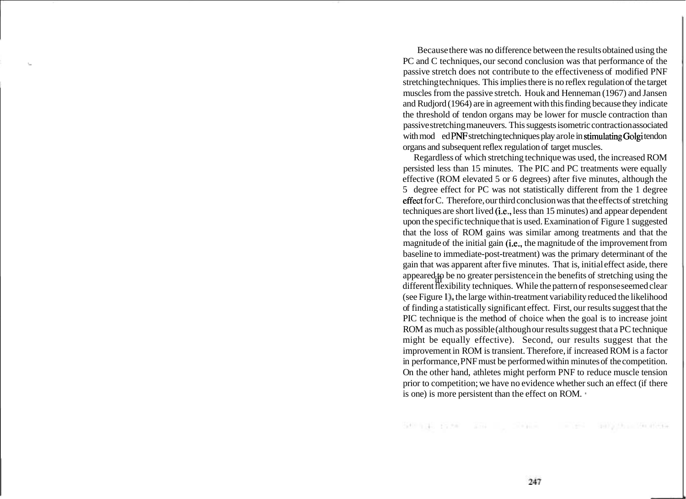Because there was no difference between the results obtained using the PC and C techniques, our second conclusion was that performance of the passive stretch does not contribute to the effectiveness of modified PNF stretching techniques. This implies there is no reflex regulation of the target muscles from the passive stretch. Houk and Henneman (1967) and Jansen and Rudjord (1964) are in agreement with this finding because they indicate the threshold of tendon organs may be lower for muscle contraction than passive stretching maneuvers. This suggests isometric contraction associated with mod ed PNF stretching techniques play arole in stimulating Golgi tendon organs and subsequent reflex regulation of target muscles.

appeared<sub>i</sub>p be no greater persistence in the benefits of stretching using the<br>different flexibility techniques. While the pattern of response seemed clear Regardless of which stretching technique was used, the increased ROM persisted less than 15 minutes. The PIC and PC treatments were equally effective (ROM elevated 5 or 6 degrees) after five minutes, although the 5 degree effect for PC was not statistically different from the 1 degree effect for C. Therefore, our third conclusion was that the effects of stretching techniques are short lived (i.e., less than 15 minutes) and appear dependent upon the specific technique that is used. Examination of Figure 1 suggested that the loss of ROM gains was similar among treatments and that the magnitude of the initial gain (i.e., the magnitude of the improvement from baseline to immediate-post-treatment) was the primary determinant of the gain that was apparent after five minutes. That is, initial effect aside, there appeared to be no greater persistence in the benefits of stretching using the (see Figure I), the large within-treatment variability reduced the likelihood of finding a statistically significant effect. First, our results suggest that the PIC technique is the method of choice when the goal is to increase joint ROM as much as possible (although our results suggest that a PC technique might be equally effective). Second, our results suggest that the improvement in ROM is transient. Therefore, if increased ROM is a factor in performance, PNF must be performed within minutes of the competition. On the other hand, athletes might perform PNF to reduce muscle tension prior to competition; we have no evidence whether such an effect (if there is one) is more persistent than the effect on ROM.

See all Parkel and Company and any even models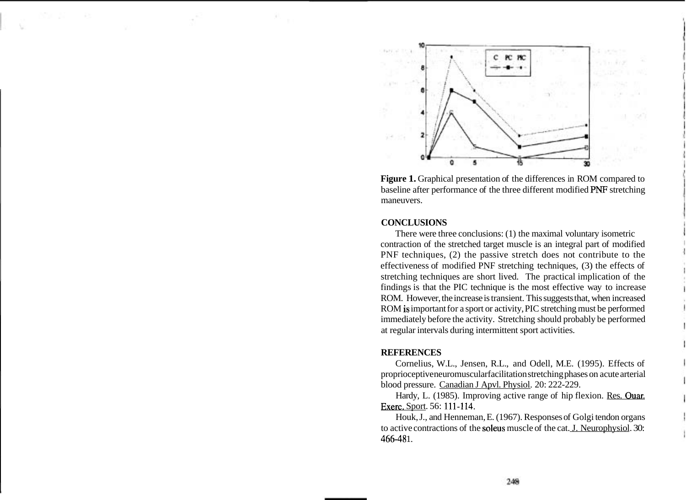

**Figure 1.** Graphical presentation of the differences in ROM compared to baseline after performance of the three different modified PNF stretching maneuvers.

#### **CONCLUSIONS**

There were three conclusions: (1) the maximal voluntary isometric contraction of the stretched target muscle is an integral part of modified PNF techniques, (2) the passive stretch does not contribute to the effectiveness of modified PNF stretching techniques, (3) the effects of stretching techniques are short lived. The practical implication of the findings is that the PIC technique is the most effective way to increase ROM. However, the increase is transient. This suggests that, when increased ROM is important for a sport or activity, PIC stretching must be performed immediately before the activity. Stretching should probably be performed at regular intervals during intermittent sport activities.

#### **REFERENCES**

Cornelius, W.L., Jensen, R.L., and Odell, M.E. (1995). Effects of proprioceptive neuromuscular facilitation stretching phases on acute arterial blood pressure. Canadian J Apvl. Physiol. 20: 222-229.

Hardy, L. (1985). Improving active range of hip flexion. Res. Ouar. Exerc. Sport. 56: 111-114.

Houk, J., and Henneman, E. (1967). Responses of Golgi tendon organs to active contractions of the soleus muscle of the cat. J. Neurophysiol. 30: 466-48 1.